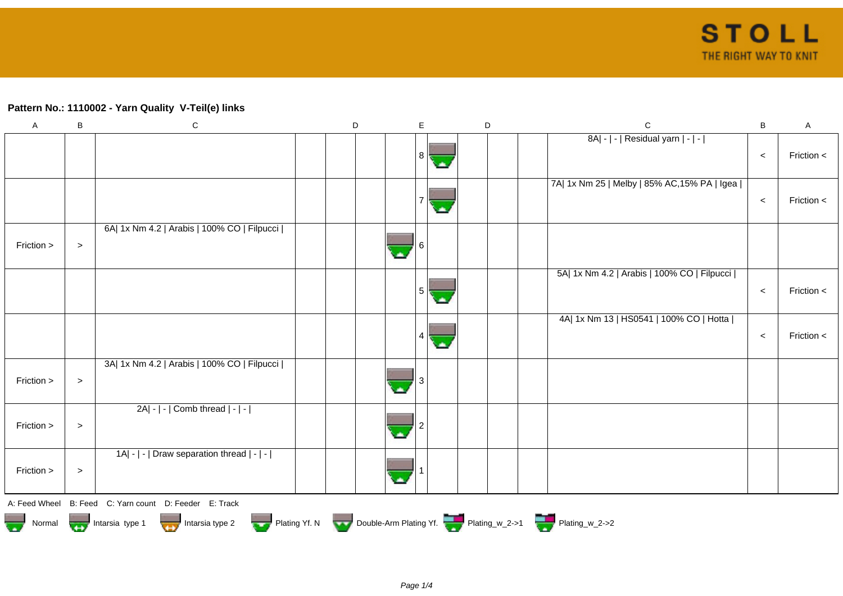## **Pattern No.: 1110002 - Yarn Quality V-Teil(e) links**

| $\mathsf A$   | B      | ${\bf C}$                                                                              | D | E   | D | $\mathsf{C}$                                 | B     | Α          |
|---------------|--------|----------------------------------------------------------------------------------------|---|-----|---|----------------------------------------------|-------|------------|
|               |        |                                                                                        |   | 8 I |   | 8A  -   -   Residual yarn   -   -            | $\,<$ | Friction < |
|               |        |                                                                                        |   |     |   | 7A  1x Nm 25   Melby   85% AC, 15% PA   Igea |       |            |
|               |        |                                                                                        |   |     |   |                                              | $\,<$ | Friction < |
| Friction >    | $\, >$ | 6A  1x Nm 4.2   Arabis   100% CO   Filpucci                                            |   |     |   |                                              |       |            |
|               |        |                                                                                        |   | 5   |   | 5A  1x Nm 4.2   Arabis   100% CO   Filpucci  | $\,<$ | Friction < |
|               |        |                                                                                        |   |     |   | 4A  1x Nm 13   HS0541   100% CO   Hotta      | $\,<$ | Friction < |
| Friction >    | $\, >$ | 3A  1x Nm 4.2   Arabis   100% CO   Filpucci                                            |   |     |   |                                              |       |            |
| Friction >    | $\, >$ | $2A - - $ Comb thread $ - - $                                                          |   |     |   |                                              |       |            |
| Friction >    | $\, >$ | 1A  -   -   Draw separation thread   -   -                                             |   |     |   |                                              |       |            |
| A: Feed Wheel |        | B: Feed C: Yarn count D: Feeder E: Track                                               |   |     |   |                                              |       |            |
|               |        | Normal <b>Double-Arm Plating Yf. N</b> Double-Arm Plating Yf. N Double-Arm Plating Yf. |   |     |   |                                              |       |            |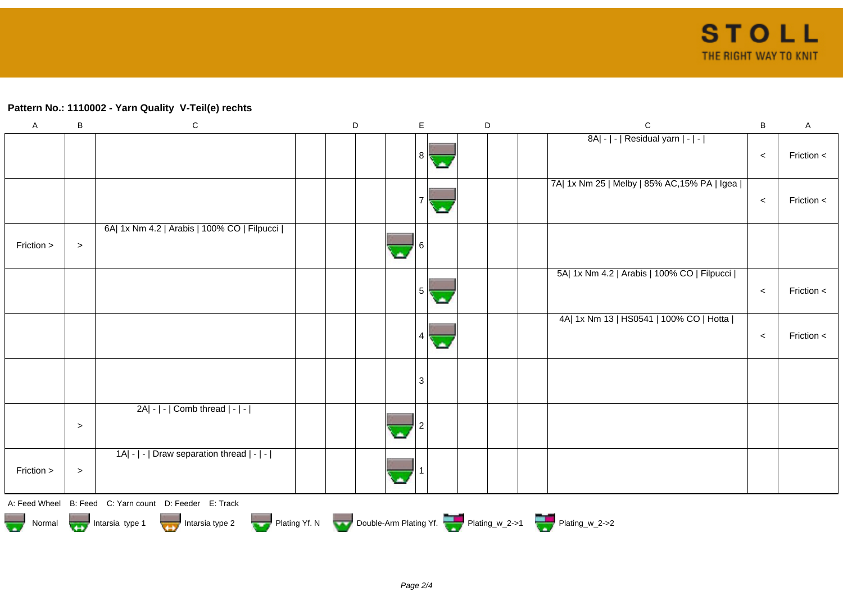## **Pattern No.: 1110002 - Yarn Quality V-Teil(e) rechts**

| $\mathsf A$ | B      | ${\bf C}$                                                                              | D | E              |    | D | $\mathsf{C}$                                 | $\sf B$ | A          |
|-------------|--------|----------------------------------------------------------------------------------------|---|----------------|----|---|----------------------------------------------|---------|------------|
|             |        |                                                                                        |   | 8 <sup>1</sup> | C. |   | 8A  -   -   Residual yarn   -   -            | $\,<$   | Friction < |
|             |        |                                                                                        |   |                |    |   | 7A  1x Nm 25   Melby   85% AC, 15% PA   Igea | $\,<$   | Friction < |
| Friction >  | $\,>$  | 6A  1x Nm 4.2   Arabis   100% CO   Filpucci                                            |   |                |    |   |                                              |         |            |
|             |        |                                                                                        |   | 5              |    |   | 5A  1x Nm 4.2   Arabis   100% CO   Filpucci  | $\prec$ | Friction < |
|             |        |                                                                                        |   | 4              |    |   | 4A  1x Nm 13   HS0541   100% CO   Hotta      | $\,<$   | Friction < |
|             |        |                                                                                        |   | 3              |    |   |                                              |         |            |
|             | $\,>$  | $2A - - $ Comb thread $ - - $                                                          |   |                |    |   |                                              |         |            |
| Friction >  | $\, >$ | 1A  -   -   Draw separation thread   -   -                                             |   |                |    |   |                                              |         |            |
|             |        | A: Feed Wheel B: Feed C: Yarn count D: Feeder E: Track                                 |   |                |    |   |                                              |         |            |
|             |        | Normal <b>Double-Arm Plating Yf. N</b> Double-Arm Plating Yf. N Double-Arm Plating Yf. |   |                |    |   |                                              |         |            |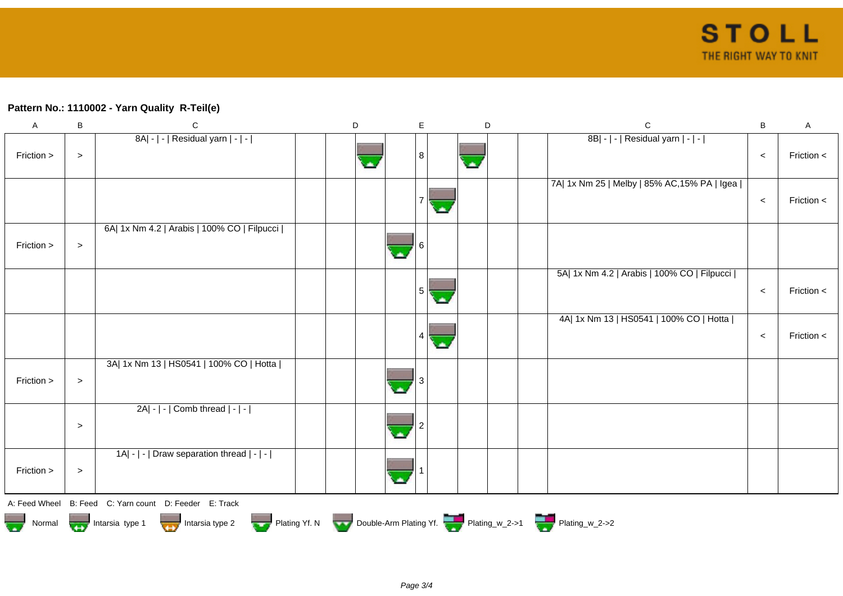## **Pattern No.: 1110002 - Yarn Quality R-Teil(e)**

| $\mathsf A$                                                                            | B         | $\mathbf C$                                            |  | D |  | E | D |  | $\mathbf C$                                  | $\sf B$ | A            |
|----------------------------------------------------------------------------------------|-----------|--------------------------------------------------------|--|---|--|---|---|--|----------------------------------------------|---------|--------------|
| Friction >                                                                             | $\, >$    | 8A  -   -   Residual yarn   -   -                      |  |   |  | 8 |   |  | 8B  -   -   Residual yarn   -   -            | $\,<$   | Friction <   |
|                                                                                        |           |                                                        |  |   |  |   |   |  | 7A  1x Nm 25   Melby   85% AC, 15% PA   Igea | $\,<$   | Friction <   |
| Friction >                                                                             | $\, >$    | 6A  1x Nm 4.2   Arabis   100% CO   Filpucci            |  |   |  |   |   |  |                                              |         |              |
|                                                                                        |           |                                                        |  |   |  | 5 |   |  | 5A  1x Nm 4.2   Arabis   100% CO   Filpucci  | $\,<$   | Friction $<$ |
|                                                                                        |           |                                                        |  |   |  | 4 |   |  | 4A  1x Nm 13   HS0541   100% CO   Hotta      | $\,<$   | Friction <   |
| Friction >                                                                             | $\, >$    | 3A  1x Nm 13   HS0541   100% CO   Hotta                |  |   |  |   |   |  |                                              |         |              |
|                                                                                        | $\, > \,$ | $2A - - $ Comb thread $ - - $                          |  |   |  |   |   |  |                                              |         |              |
| Friction >                                                                             | $\, >$    | 1A  -   -   Draw separation thread   -   -             |  |   |  |   |   |  |                                              |         |              |
|                                                                                        |           | A: Feed Wheel B: Feed C: Yarn count D: Feeder E: Track |  |   |  |   |   |  |                                              |         |              |
| Normal <b>Double-Arm Plating Yf. N</b> Double-Arm Plating Yf. N Double-Arm Plating Yf. |           |                                                        |  |   |  |   |   |  |                                              |         |              |